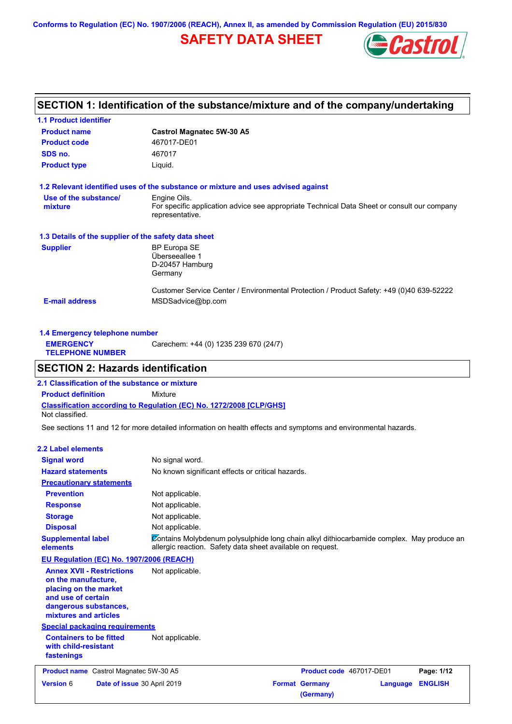**Conforms to Regulation (EC) No. 1907/2006 (REACH), Annex II, as amended by Commission Regulation (EU) 2015/830**

# **SAFETY DATA SHEET**



## **SECTION 1: Identification of the substance/mixture and of the company/undertaking**

| <b>1.1 Product identifier</b>                        |                                                                                                                                |
|------------------------------------------------------|--------------------------------------------------------------------------------------------------------------------------------|
| <b>Product name</b>                                  | <b>Castrol Magnatec 5W-30 A5</b>                                                                                               |
| <b>Product code</b>                                  | 467017-DE01                                                                                                                    |
| SDS no.                                              | 467017                                                                                                                         |
| <b>Product type</b>                                  | Liquid.                                                                                                                        |
|                                                      | 1.2 Relevant identified uses of the substance or mixture and uses advised against                                              |
| Use of the substance/<br>mixture                     | Engine Oils.<br>For specific application advice see appropriate Technical Data Sheet or consult our company<br>representative. |
| 1.3 Details of the supplier of the safety data sheet |                                                                                                                                |
| <b>Supplier</b>                                      | <b>BP Europa SE</b><br>Überseeallee 1<br>D-20457 Hamburg<br>Germany                                                            |
| <b>E-mail address</b>                                | Customer Service Center / Environmental Protection / Product Safety: +49 (0)40 639-52222<br>MSDSadvice@bp.com                  |

| 1.4 Emergency telephone number              |                                       |  |  |
|---------------------------------------------|---------------------------------------|--|--|
| <b>EMERGENCY</b><br><b>TELEPHONE NUMBER</b> | Carechem: +44 (0) 1235 239 670 (24/7) |  |  |

### **SECTION 2: Hazards identification**

**Classification according to Regulation (EC) No. 1272/2008 [CLP/GHS] 2.1 Classification of the substance or mixture Product definition** Mixture Not classified.

See sections 11 and 12 for more detailed information on health effects and symptoms and environmental hazards.

#### **2.2 Label elements**

| <b>Signal word</b><br><b>Hazard statements</b>                                                                                                           | No signal word.<br>No known significant effects or critical hazards.                                                                                    |
|----------------------------------------------------------------------------------------------------------------------------------------------------------|---------------------------------------------------------------------------------------------------------------------------------------------------------|
| <b>Precautionary statements</b>                                                                                                                          |                                                                                                                                                         |
| <b>Prevention</b>                                                                                                                                        | Not applicable.                                                                                                                                         |
| <b>Response</b>                                                                                                                                          | Not applicable.                                                                                                                                         |
| <b>Storage</b>                                                                                                                                           | Not applicable.                                                                                                                                         |
| <b>Disposal</b>                                                                                                                                          | Not applicable.                                                                                                                                         |
| <b>Supplemental label</b><br>elements                                                                                                                    | Zontains Molybdenum polysulphide long chain alkyl dithiocarbamide complex. May produce an<br>allergic reaction. Safety data sheet available on request. |
| EU Regulation (EC) No. 1907/2006 (REACH)                                                                                                                 |                                                                                                                                                         |
| <b>Annex XVII - Restrictions</b><br>on the manufacture,<br>placing on the market<br>and use of certain<br>dangerous substances,<br>mixtures and articles | Not applicable.                                                                                                                                         |
| <b>Special packaging requirements</b>                                                                                                                    |                                                                                                                                                         |
| <b>Containers to be fitted</b><br>with child-resistant<br>fastenings                                                                                     | Not applicable.                                                                                                                                         |
| <b>Product name</b> Castrol Magnatec 5W-30 A5                                                                                                            | Product code 467017-DE01<br>Page: 1/12                                                                                                                  |
| <b>Version 6</b><br>Date of issue 30 April 2019                                                                                                          | <b>ENGLISH</b><br><b>Format Germany</b><br>Language<br>(Germany)                                                                                        |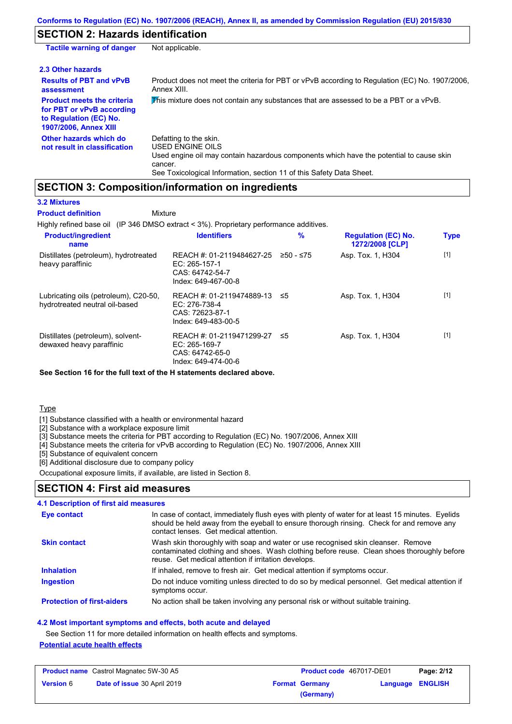### **SECTION 2: Hazards identification**

| <b>Tactile warning of danger</b>                                                                                         | Not applicable.                                                                                                                                                                                                          |
|--------------------------------------------------------------------------------------------------------------------------|--------------------------------------------------------------------------------------------------------------------------------------------------------------------------------------------------------------------------|
| 2.3 Other hazards                                                                                                        |                                                                                                                                                                                                                          |
| <b>Results of PBT and vPvB</b><br>assessment                                                                             | Product does not meet the criteria for PBT or vPvB according to Regulation (EC) No. 1907/2006,<br>Annex XIII.                                                                                                            |
| <b>Product meets the criteria</b><br>for PBT or vPvB according<br>to Regulation (EC) No.<br><b>1907/2006, Annex XIII</b> | This mixture does not contain any substances that are assessed to be a PBT or a vPvB.                                                                                                                                    |
| Other hazards which do<br>not result in classification                                                                   | Defatting to the skin.<br>USED ENGINE OILS<br>Used engine oil may contain hazardous components which have the potential to cause skin<br>cancer.<br>See Toxicological Information, section 11 of this Safety Data Sheet. |

### **SECTION 3: Composition/information on ingredients**

**3.2 Mixtures**

**Product definition**

Highly refined base oil (IP 346 DMSO extract < 3%). Proprietary performance additives. **Mixture** 

| <b>Product/ingredient</b><br>name                                       | <b>Identifiers</b>                                                                      | $\%$      | <b>Regulation (EC) No.</b><br>1272/2008 [CLP] | <b>Type</b> |
|-------------------------------------------------------------------------|-----------------------------------------------------------------------------------------|-----------|-----------------------------------------------|-------------|
| Distillates (petroleum), hydrotreated<br>heavy paraffinic               | REACH #: 01-2119484627-25<br>$EC: 265-157-1$<br>CAS: 64742-54-7<br>Index: 649-467-00-8  | ≥50 - ≤75 | Asp. Tox. 1, H304                             | $[1]$       |
| Lubricating oils (petroleum), C20-50,<br>hydrotreated neutral oil-based | REACH #: 01-2119474889-13 ≤5<br>EC: 276-738-4<br>CAS: 72623-87-1<br>Index: 649-483-00-5 |           | Asp. Tox. 1, H304                             | [1]         |
| Distillates (petroleum), solvent-<br>dewaxed heavy paraffinic           | REACH #: 01-2119471299-27<br>$EC: 265-169-7$<br>CAS: 64742-65-0<br>Index: 649-474-00-6  | - ≤5      | Asp. Tox. 1, H304                             | $[1]$       |

**See Section 16 for the full text of the H statements declared above.**

**Type** 

[1] Substance classified with a health or environmental hazard

[2] Substance with a workplace exposure limit

[3] Substance meets the criteria for PBT according to Regulation (EC) No. 1907/2006, Annex XIII

[4] Substance meets the criteria for vPvB according to Regulation (EC) No. 1907/2006, Annex XIII

[5] Substance of equivalent concern

[6] Additional disclosure due to company policy

Occupational exposure limits, if available, are listed in Section 8.

### **SECTION 4: First aid measures**

#### Do not induce vomiting unless directed to do so by medical personnel. Get medical attention if symptoms occur. In case of contact, immediately flush eyes with plenty of water for at least 15 minutes. Eyelids should be held away from the eyeball to ensure thorough rinsing. Check for and remove any contact lenses. Get medical attention. **4.1 Description of first aid measures** If inhaled, remove to fresh air. Get medical attention if symptoms occur. **Ingestion Inhalation Eye contact Protection of first-aiders** No action shall be taken involving any personal risk or without suitable training. **Skin contact** Wash skin thoroughly with soap and water or use recognised skin cleanser. Remove contaminated clothing and shoes. Wash clothing before reuse. Clean shoes thoroughly before reuse. Get medical attention if irritation develops.

**4.2 Most important symptoms and effects, both acute and delayed**

See Section 11 for more detailed information on health effects and symptoms.

### **Potential acute health effects**

| <b>Product name</b> Castrol Magnatec 5W-30 A5 |                             | <b>Product code</b> 467017-DE01 |                       | Page: 2/12       |  |
|-----------------------------------------------|-----------------------------|---------------------------------|-----------------------|------------------|--|
| <b>Version 6</b>                              | Date of issue 30 April 2019 |                                 | <b>Format Germany</b> | Language ENGLISH |  |
|                                               |                             |                                 | (Germany)             |                  |  |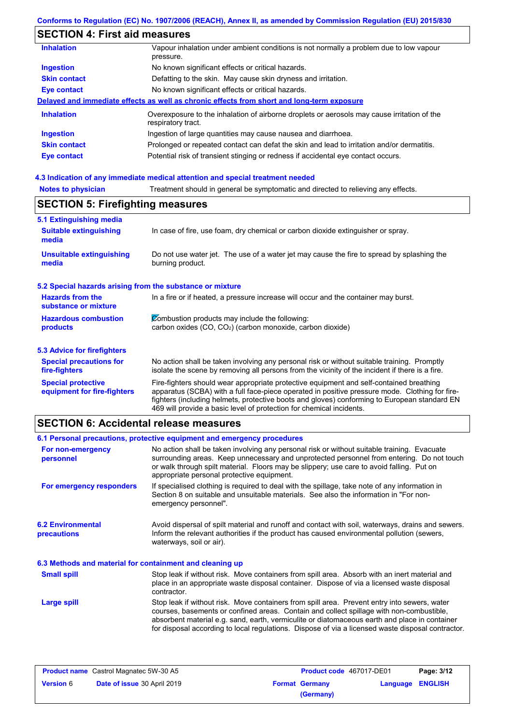# **SECTION 4: First aid measures**

| <b>Inhalation</b>   | Vapour inhalation under ambient conditions is not normally a problem due to low vapour<br>pressure.               |
|---------------------|-------------------------------------------------------------------------------------------------------------------|
| <b>Ingestion</b>    | No known significant effects or critical hazards.                                                                 |
| <b>Skin contact</b> | Defatting to the skin. May cause skin dryness and irritation.                                                     |
| <b>Eye contact</b>  | No known significant effects or critical hazards.                                                                 |
|                     | Delayed and immediate effects as well as chronic effects from short and long-term exposure                        |
| <b>Inhalation</b>   | Overexposure to the inhalation of airborne droplets or aerosols may cause irritation of the<br>respiratory tract. |
| <b>Ingestion</b>    | Ingestion of large quantities may cause nausea and diarrhoea.                                                     |
| <b>Skin contact</b> | Prolonged or repeated contact can defat the skin and lead to irritation and/or dermatitis.                        |
| Eye contact         | Potential risk of transient stinging or redness if accidental eye contact occurs.                                 |
|                     |                                                                                                                   |

# **4.3 Indication of any immediate medical attention and special treatment needed**

| <b>SECTION 5: Firefighting measures</b>                   |                                                                                                                                                                                                                                                                                                                                                                   |  |  |
|-----------------------------------------------------------|-------------------------------------------------------------------------------------------------------------------------------------------------------------------------------------------------------------------------------------------------------------------------------------------------------------------------------------------------------------------|--|--|
| 5.1 Extinguishing media                                   |                                                                                                                                                                                                                                                                                                                                                                   |  |  |
| <b>Suitable extinguishing</b><br>media                    | In case of fire, use foam, dry chemical or carbon dioxide extinguisher or spray.                                                                                                                                                                                                                                                                                  |  |  |
| <b>Unsuitable extinguishing</b><br>media                  | Do not use water jet. The use of a water jet may cause the fire to spread by splashing the<br>burning product.                                                                                                                                                                                                                                                    |  |  |
| 5.2 Special hazards arising from the substance or mixture |                                                                                                                                                                                                                                                                                                                                                                   |  |  |
| <b>Hazards from the</b><br>substance or mixture           | In a fire or if heated, a pressure increase will occur and the container may burst.                                                                                                                                                                                                                                                                               |  |  |
| <b>Hazardous combustion</b>                               | Combustion products may include the following:                                                                                                                                                                                                                                                                                                                    |  |  |
| products                                                  | carbon oxides (CO, CO <sub>2</sub> ) (carbon monoxide, carbon dioxide)                                                                                                                                                                                                                                                                                            |  |  |
| 5.3 Advice for firefighters                               |                                                                                                                                                                                                                                                                                                                                                                   |  |  |
| <b>Special precautions for</b><br>fire-fighters           | No action shall be taken involving any personal risk or without suitable training. Promptly<br>isolate the scene by removing all persons from the vicinity of the incident if there is a fire.                                                                                                                                                                    |  |  |
| <b>Special protective</b><br>equipment for fire-fighters  | Fire-fighters should wear appropriate protective equipment and self-contained breathing<br>apparatus (SCBA) with a full face-piece operated in positive pressure mode. Clothing for fire-<br>fighters (including helmets, protective boots and gloves) conforming to European standard EN<br>469 will provide a basic level of protection for chemical incidents. |  |  |

# **SECTION 6: Accidental release measures**

|                                                          | 6.1 Personal precautions, protective equipment and emergency procedures                                                                                                                                                                                                                                                                                                                        |  |  |
|----------------------------------------------------------|------------------------------------------------------------------------------------------------------------------------------------------------------------------------------------------------------------------------------------------------------------------------------------------------------------------------------------------------------------------------------------------------|--|--|
| For non-emergency<br>personnel                           | No action shall be taken involving any personal risk or without suitable training. Evacuate<br>surrounding areas. Keep unnecessary and unprotected personnel from entering. Do not touch<br>or walk through spilt material. Floors may be slippery; use care to avoid falling. Put on<br>appropriate personal protective equipment.                                                            |  |  |
| For emergency responders                                 | If specialised clothing is required to deal with the spillage, take note of any information in<br>Section 8 on suitable and unsuitable materials. See also the information in "For non-<br>emergency personnel".                                                                                                                                                                               |  |  |
| <b>6.2 Environmental</b><br>precautions                  | Avoid dispersal of spilt material and runoff and contact with soil, waterways, drains and sewers.<br>Inform the relevant authorities if the product has caused environmental pollution (sewers,<br>waterways, soil or air).                                                                                                                                                                    |  |  |
| 6.3 Methods and material for containment and cleaning up |                                                                                                                                                                                                                                                                                                                                                                                                |  |  |
| <b>Small spill</b>                                       | Stop leak if without risk. Move containers from spill area. Absorb with an inert material and<br>place in an appropriate waste disposal container. Dispose of via a licensed waste disposal<br>contractor.                                                                                                                                                                                     |  |  |
| Large spill                                              | Stop leak if without risk. Move containers from spill area. Prevent entry into sewers, water<br>courses, basements or confined areas. Contain and collect spillage with non-combustible,<br>absorbent material e.g. sand, earth, vermiculite or diatomaceous earth and place in container<br>for disposal according to local regulations. Dispose of via a licensed waste disposal contractor. |  |  |

| <b>Product name</b> Castrol Magnatec 5W-30 A5 |                             | <b>Product code</b> 467017-DE01 |                       | Page: 3/12              |  |
|-----------------------------------------------|-----------------------------|---------------------------------|-----------------------|-------------------------|--|
| <b>Version 6</b>                              | Date of issue 30 April 2019 |                                 | <b>Format Germany</b> | <b>Language ENGLISH</b> |  |
|                                               |                             |                                 | (Germany)             |                         |  |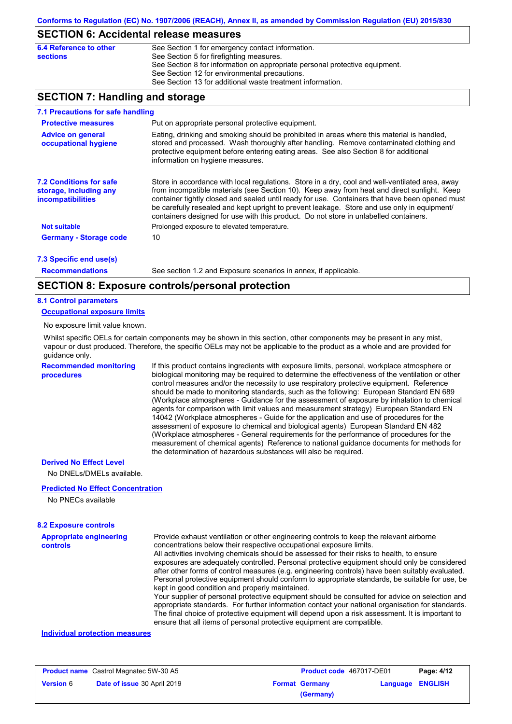### **SECTION 6: Accidental release measures**

| 6.4 Reference to other | See Section 1 for emergency contact information.                            |
|------------------------|-----------------------------------------------------------------------------|
| <b>sections</b>        | See Section 5 for firefighting measures.                                    |
|                        | See Section 8 for information on appropriate personal protective equipment. |
|                        | See Section 12 for environmental precautions.                               |
|                        | See Section 13 for additional waste treatment information.                  |

### **SECTION 7: Handling and storage**

| 7.1 Precautions for safe handling                                                    |                                                                                                                                                                                                                                                                                                                                                                                                                                                                                          |
|--------------------------------------------------------------------------------------|------------------------------------------------------------------------------------------------------------------------------------------------------------------------------------------------------------------------------------------------------------------------------------------------------------------------------------------------------------------------------------------------------------------------------------------------------------------------------------------|
| <b>Protective measures</b>                                                           | Put on appropriate personal protective equipment.                                                                                                                                                                                                                                                                                                                                                                                                                                        |
| <b>Advice on general</b><br>occupational hygiene                                     | Eating, drinking and smoking should be prohibited in areas where this material is handled.<br>stored and processed. Wash thoroughly after handling. Remove contaminated clothing and<br>protective equipment before entering eating areas. See also Section 8 for additional<br>information on hygiene measures.                                                                                                                                                                         |
| <b>7.2 Conditions for safe</b><br>storage, including any<br><i>incompatibilities</i> | Store in accordance with local requlations. Store in a dry, cool and well-ventilated area, away<br>from incompatible materials (see Section 10). Keep away from heat and direct sunlight. Keep<br>container tightly closed and sealed until ready for use. Containers that have been opened must<br>be carefully resealed and kept upright to prevent leakage. Store and use only in equipment/<br>containers designed for use with this product. Do not store in unlabelled containers. |
| <b>Not suitable</b>                                                                  | Prolonged exposure to elevated temperature.                                                                                                                                                                                                                                                                                                                                                                                                                                              |
| <b>Germany - Storage code</b>                                                        | 10                                                                                                                                                                                                                                                                                                                                                                                                                                                                                       |
| $7.2$ Consider and $(4)$                                                             |                                                                                                                                                                                                                                                                                                                                                                                                                                                                                          |

#### **7.3 Specific end use(s)**

**Recommendations**

See section 1.2 and Exposure scenarios in annex, if applicable.

### **SECTION 8: Exposure controls/personal protection**

#### **8.1 Control parameters**

**Occupational exposure limits**

No exposure limit value known.

Whilst specific OELs for certain components may be shown in this section, other components may be present in any mist, vapour or dust produced. Therefore, the specific OELs may not be applicable to the product as a whole and are provided for guidance only.

**Recommended monitoring procedures**

If this product contains ingredients with exposure limits, personal, workplace atmosphere or biological monitoring may be required to determine the effectiveness of the ventilation or other control measures and/or the necessity to use respiratory protective equipment. Reference should be made to monitoring standards, such as the following: European Standard EN 689 (Workplace atmospheres - Guidance for the assessment of exposure by inhalation to chemical agents for comparison with limit values and measurement strategy) European Standard EN 14042 (Workplace atmospheres - Guide for the application and use of procedures for the assessment of exposure to chemical and biological agents) European Standard EN 482 (Workplace atmospheres - General requirements for the performance of procedures for the measurement of chemical agents) Reference to national guidance documents for methods for the determination of hazardous substances will also be required.

#### **Derived No Effect Level**

No DNELs/DMELs available.

#### **Predicted No Effect Concentration**

No PNECs available

#### **8.2 Exposure controls**

**Appropriate engineering controls** Provide exhaust ventilation or other engineering controls to keep the relevant airborne concentrations below their respective occupational exposure limits. All activities involving chemicals should be assessed for their risks to health, to ensure exposures are adequately controlled. Personal protective equipment should only be considered after other forms of control measures (e.g. engineering controls) have been suitably evaluated. Personal protective equipment should conform to appropriate standards, be suitable for use, be kept in good condition and properly maintained. Your supplier of personal protective equipment should be consulted for advice on selection and

appropriate standards. For further information contact your national organisation for standards. The final choice of protective equipment will depend upon a risk assessment. It is important to ensure that all items of personal protective equipment are compatible.

#### **Individual protection measures**

| <b>Product name</b> Castrol Magnatec 5W-30 A5 |                             | <b>Product code</b> 467017-DE01 |                       | Page: 4/12       |  |
|-----------------------------------------------|-----------------------------|---------------------------------|-----------------------|------------------|--|
| <b>Version 6</b>                              | Date of issue 30 April 2019 |                                 | <b>Format Germany</b> | Language ENGLISH |  |
|                                               |                             |                                 | (Germany)             |                  |  |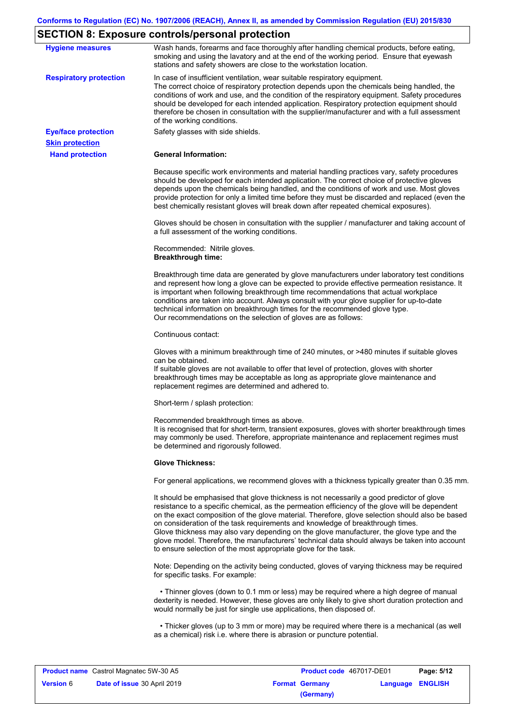# **SECTION 8: Exposure controls/personal protection**

| <b>Hygiene measures</b>                              | Wash hands, forearms and face thoroughly after handling chemical products, before eating,<br>smoking and using the lavatory and at the end of the working period. Ensure that eyewash<br>stations and safety showers are close to the workstation location.                                                                                                                                                                                                                                                                                                                                                                                       |
|------------------------------------------------------|---------------------------------------------------------------------------------------------------------------------------------------------------------------------------------------------------------------------------------------------------------------------------------------------------------------------------------------------------------------------------------------------------------------------------------------------------------------------------------------------------------------------------------------------------------------------------------------------------------------------------------------------------|
| <b>Respiratory protection</b>                        | In case of insufficient ventilation, wear suitable respiratory equipment.<br>The correct choice of respiratory protection depends upon the chemicals being handled, the<br>conditions of work and use, and the condition of the respiratory equipment. Safety procedures<br>should be developed for each intended application. Respiratory protection equipment should<br>therefore be chosen in consultation with the supplier/manufacturer and with a full assessment<br>of the working conditions.                                                                                                                                             |
| <b>Eye/face protection</b><br><b>Skin protection</b> | Safety glasses with side shields.                                                                                                                                                                                                                                                                                                                                                                                                                                                                                                                                                                                                                 |
| <b>Hand protection</b>                               | <b>General Information:</b>                                                                                                                                                                                                                                                                                                                                                                                                                                                                                                                                                                                                                       |
|                                                      | Because specific work environments and material handling practices vary, safety procedures<br>should be developed for each intended application. The correct choice of protective gloves<br>depends upon the chemicals being handled, and the conditions of work and use. Most gloves<br>provide protection for only a limited time before they must be discarded and replaced (even the<br>best chemically resistant gloves will break down after repeated chemical exposures).                                                                                                                                                                  |
|                                                      | Gloves should be chosen in consultation with the supplier / manufacturer and taking account of<br>a full assessment of the working conditions.                                                                                                                                                                                                                                                                                                                                                                                                                                                                                                    |
|                                                      | Recommended: Nitrile gloves.<br><b>Breakthrough time:</b>                                                                                                                                                                                                                                                                                                                                                                                                                                                                                                                                                                                         |
|                                                      | Breakthrough time data are generated by glove manufacturers under laboratory test conditions<br>and represent how long a glove can be expected to provide effective permeation resistance. It<br>is important when following breakthrough time recommendations that actual workplace<br>conditions are taken into account. Always consult with your glove supplier for up-to-date<br>technical information on breakthrough times for the recommended glove type.<br>Our recommendations on the selection of gloves are as follows:                                                                                                                |
|                                                      | Continuous contact:                                                                                                                                                                                                                                                                                                                                                                                                                                                                                                                                                                                                                               |
|                                                      | Gloves with a minimum breakthrough time of 240 minutes, or >480 minutes if suitable gloves<br>can be obtained.<br>If suitable gloves are not available to offer that level of protection, gloves with shorter<br>breakthrough times may be acceptable as long as appropriate glove maintenance and<br>replacement regimes are determined and adhered to.                                                                                                                                                                                                                                                                                          |
|                                                      | Short-term / splash protection:                                                                                                                                                                                                                                                                                                                                                                                                                                                                                                                                                                                                                   |
|                                                      | Recommended breakthrough times as above.<br>It is recognised that for short-term, transient exposures, gloves with shorter breakthrough times<br>may commonly be used. Therefore, appropriate maintenance and replacement regimes must<br>be determined and rigorously followed.                                                                                                                                                                                                                                                                                                                                                                  |
|                                                      | <b>Glove Thickness:</b>                                                                                                                                                                                                                                                                                                                                                                                                                                                                                                                                                                                                                           |
|                                                      | For general applications, we recommend gloves with a thickness typically greater than 0.35 mm.                                                                                                                                                                                                                                                                                                                                                                                                                                                                                                                                                    |
|                                                      | It should be emphasised that glove thickness is not necessarily a good predictor of glove<br>resistance to a specific chemical, as the permeation efficiency of the glove will be dependent<br>on the exact composition of the glove material. Therefore, glove selection should also be based<br>on consideration of the task requirements and knowledge of breakthrough times.<br>Glove thickness may also vary depending on the glove manufacturer, the glove type and the<br>glove model. Therefore, the manufacturers' technical data should always be taken into account<br>to ensure selection of the most appropriate glove for the task. |
|                                                      | Note: Depending on the activity being conducted, gloves of varying thickness may be required<br>for specific tasks. For example:                                                                                                                                                                                                                                                                                                                                                                                                                                                                                                                  |
|                                                      | • Thinner gloves (down to 0.1 mm or less) may be required where a high degree of manual<br>dexterity is needed. However, these gloves are only likely to give short duration protection and<br>would normally be just for single use applications, then disposed of.                                                                                                                                                                                                                                                                                                                                                                              |
|                                                      | • Thicker gloves (up to 3 mm or more) may be required where there is a mechanical (as well<br>as a chemical) risk i.e. where there is abrasion or puncture potential.                                                                                                                                                                                                                                                                                                                                                                                                                                                                             |

|                  | <b>Product name</b> Castrol Magnatec 5W-30 A5 | Product code 467017-DE01 |                  | Page: 5/12 |
|------------------|-----------------------------------------------|--------------------------|------------------|------------|
| <b>Version 6</b> | Date of issue 30 April 2019                   | <b>Format Germany</b>    | Language ENGLISH |            |
|                  |                                               | (Germany)                |                  |            |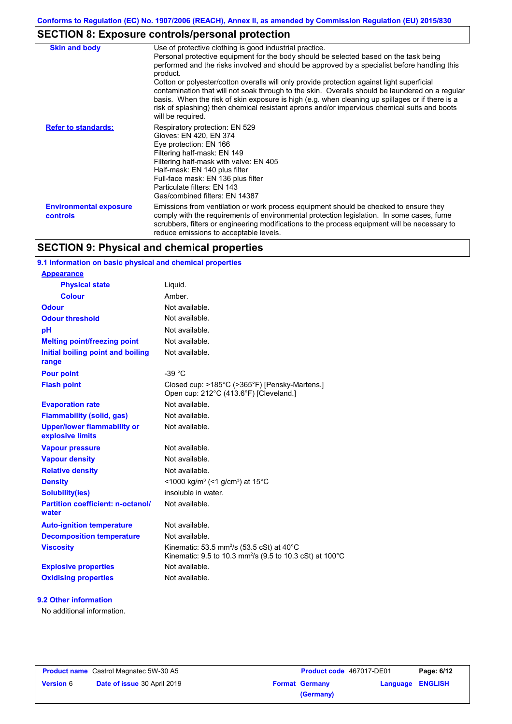# **SECTION 8: Exposure controls/personal protection**

| <b>Skin and body</b>                             | Use of protective clothing is good industrial practice.<br>Personal protective equipment for the body should be selected based on the task being<br>performed and the risks involved and should be approved by a specialist before handling this<br>product.<br>Cotton or polyester/cotton overalls will only provide protection against light superficial<br>contamination that will not soak through to the skin. Overalls should be laundered on a regular<br>basis. When the risk of skin exposure is high (e.g. when cleaning up spillages or if there is a<br>risk of splashing) then chemical resistant aprons and/or impervious chemical suits and boots<br>will be required. |
|--------------------------------------------------|---------------------------------------------------------------------------------------------------------------------------------------------------------------------------------------------------------------------------------------------------------------------------------------------------------------------------------------------------------------------------------------------------------------------------------------------------------------------------------------------------------------------------------------------------------------------------------------------------------------------------------------------------------------------------------------|
| <b>Refer to standards:</b>                       | Respiratory protection: EN 529<br>Gloves: EN 420, EN 374<br>Eye protection: EN 166<br>Filtering half-mask: EN 149<br>Filtering half-mask with valve: EN 405<br>Half-mask: EN 140 plus filter<br>Full-face mask: EN 136 plus filter<br>Particulate filters: EN 143<br>Gas/combined filters: EN 14387                                                                                                                                                                                                                                                                                                                                                                                   |
| <b>Environmental exposure</b><br><b>controls</b> | Emissions from ventilation or work process equipment should be checked to ensure they<br>comply with the requirements of environmental protection legislation. In some cases, fume<br>scrubbers, filters or engineering modifications to the process equipment will be necessary to<br>reduce emissions to acceptable levels.                                                                                                                                                                                                                                                                                                                                                         |

### **SECTION 9: Physical and chemical properties**

### **9.1 Information on basic physical and chemical properties**

| <b>Appearance</b>                                      |                                                                                                                                         |
|--------------------------------------------------------|-----------------------------------------------------------------------------------------------------------------------------------------|
| <b>Physical state</b>                                  | Liquid.                                                                                                                                 |
| <b>Colour</b>                                          | Amber.                                                                                                                                  |
| <b>Odour</b>                                           | Not available.                                                                                                                          |
| <b>Odour threshold</b>                                 | Not available.                                                                                                                          |
| pH                                                     | Not available.                                                                                                                          |
| <b>Melting point/freezing point</b>                    | Not available.                                                                                                                          |
| Initial boiling point and boiling<br>range             | Not available.                                                                                                                          |
| <b>Pour point</b>                                      | $-39 °C$                                                                                                                                |
| <b>Flash point</b>                                     | Closed cup: >185°C (>365°F) [Pensky-Martens.]<br>Open cup: 212°C (413.6°F) [Cleveland.]                                                 |
| <b>Evaporation rate</b>                                | Not available.                                                                                                                          |
| <b>Flammability (solid, gas)</b>                       | Not available.                                                                                                                          |
| <b>Upper/lower flammability or</b><br>explosive limits | Not available.                                                                                                                          |
| <b>Vapour pressure</b>                                 | Not available.                                                                                                                          |
| <b>Vapour density</b>                                  | Not available.                                                                                                                          |
| <b>Relative density</b>                                | Not available.                                                                                                                          |
| <b>Density</b>                                         | <1000 kg/m <sup>3</sup> (<1 g/cm <sup>3</sup> ) at 15 <sup>°</sup> C                                                                    |
| <b>Solubility(ies)</b>                                 | insoluble in water.                                                                                                                     |
| <b>Partition coefficient: n-octanol/</b><br>water      | Not available.                                                                                                                          |
| <b>Auto-ignition temperature</b>                       | Not available.                                                                                                                          |
| <b>Decomposition temperature</b>                       | Not available.                                                                                                                          |
| <b>Viscosity</b>                                       | Kinematic: 53.5 mm <sup>2</sup> /s (53.5 cSt) at $40^{\circ}$ C<br>Kinematic: 9.5 to 10.3 mm <sup>2</sup> /s (9.5 to 10.3 cSt) at 100°C |
| <b>Explosive properties</b>                            | Not available.                                                                                                                          |
| <b>Oxidising properties</b>                            | Not available.                                                                                                                          |
|                                                        |                                                                                                                                         |

### **9.2 Other information**

No additional information.

|                  | <b>Product name</b> Castrol Magnatec 5W-30 A5 |
|------------------|-----------------------------------------------|
| <b>Version 6</b> | <b>Date of issue 30 April 2019</b>            |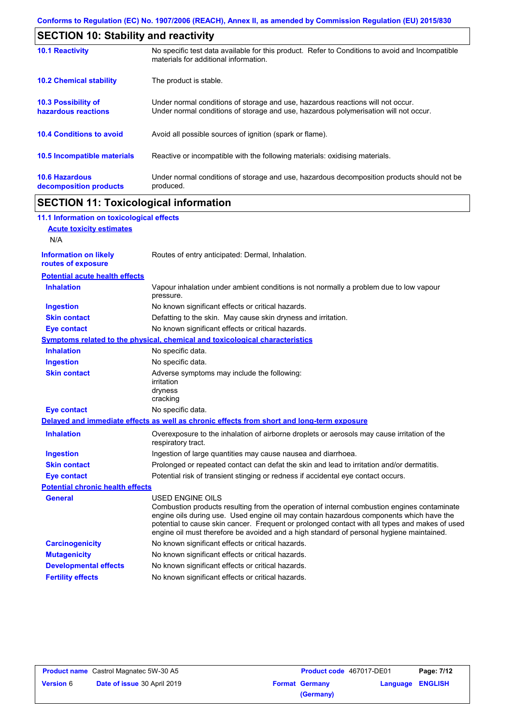| <b>SECTION 10: Stability and reactivity</b>       |                                                                                                                                                                         |  |
|---------------------------------------------------|-------------------------------------------------------------------------------------------------------------------------------------------------------------------------|--|
| <b>10.1 Reactivity</b>                            | No specific test data available for this product. Refer to Conditions to avoid and Incompatible<br>materials for additional information.                                |  |
| <b>10.2 Chemical stability</b>                    | The product is stable.                                                                                                                                                  |  |
| <b>10.3 Possibility of</b><br>hazardous reactions | Under normal conditions of storage and use, hazardous reactions will not occur.<br>Under normal conditions of storage and use, hazardous polymerisation will not occur. |  |
| <b>10.4 Conditions to avoid</b>                   | Avoid all possible sources of ignition (spark or flame).                                                                                                                |  |
| <b>10.5 Incompatible materials</b>                | Reactive or incompatible with the following materials: oxidising materials.                                                                                             |  |
| <b>10.6 Hazardous</b><br>decomposition products   | Under normal conditions of storage and use, hazardous decomposition products should not be<br>produced.                                                                 |  |

# **SECTION 11: Toxicological information**

| 11.1 Information on toxicological effects          |                                                                                                                                                                                                                                                                                                                                                                                                                 |
|----------------------------------------------------|-----------------------------------------------------------------------------------------------------------------------------------------------------------------------------------------------------------------------------------------------------------------------------------------------------------------------------------------------------------------------------------------------------------------|
| <b>Acute toxicity estimates</b>                    |                                                                                                                                                                                                                                                                                                                                                                                                                 |
| N/A                                                |                                                                                                                                                                                                                                                                                                                                                                                                                 |
| <b>Information on likely</b><br>routes of exposure | Routes of entry anticipated: Dermal, Inhalation.                                                                                                                                                                                                                                                                                                                                                                |
| <b>Potential acute health effects</b>              |                                                                                                                                                                                                                                                                                                                                                                                                                 |
| <b>Inhalation</b>                                  | Vapour inhalation under ambient conditions is not normally a problem due to low vapour<br>pressure.                                                                                                                                                                                                                                                                                                             |
| <b>Ingestion</b>                                   | No known significant effects or critical hazards.                                                                                                                                                                                                                                                                                                                                                               |
| <b>Skin contact</b>                                | Defatting to the skin. May cause skin dryness and irritation.                                                                                                                                                                                                                                                                                                                                                   |
| <b>Eye contact</b>                                 | No known significant effects or critical hazards.                                                                                                                                                                                                                                                                                                                                                               |
|                                                    | <b>Symptoms related to the physical, chemical and toxicological characteristics</b>                                                                                                                                                                                                                                                                                                                             |
| <b>Inhalation</b>                                  | No specific data.                                                                                                                                                                                                                                                                                                                                                                                               |
| <b>Ingestion</b>                                   | No specific data.                                                                                                                                                                                                                                                                                                                                                                                               |
| <b>Skin contact</b>                                | Adverse symptoms may include the following:<br>irritation<br>dryness<br>cracking                                                                                                                                                                                                                                                                                                                                |
| <b>Eye contact</b>                                 | No specific data.                                                                                                                                                                                                                                                                                                                                                                                               |
|                                                    | Delayed and immediate effects as well as chronic effects from short and long-term exposure                                                                                                                                                                                                                                                                                                                      |
| <b>Inhalation</b>                                  | Overexposure to the inhalation of airborne droplets or aerosols may cause irritation of the<br>respiratory tract.                                                                                                                                                                                                                                                                                               |
| <b>Ingestion</b>                                   | Ingestion of large quantities may cause nausea and diarrhoea.                                                                                                                                                                                                                                                                                                                                                   |
| <b>Skin contact</b>                                | Prolonged or repeated contact can defat the skin and lead to irritation and/or dermatitis.                                                                                                                                                                                                                                                                                                                      |
| <b>Eye contact</b>                                 | Potential risk of transient stinging or redness if accidental eye contact occurs.                                                                                                                                                                                                                                                                                                                               |
| <b>Potential chronic health effects</b>            |                                                                                                                                                                                                                                                                                                                                                                                                                 |
| <b>General</b>                                     | <b>USED ENGINE OILS</b><br>Combustion products resulting from the operation of internal combustion engines contaminate<br>engine oils during use. Used engine oil may contain hazardous components which have the<br>potential to cause skin cancer. Frequent or prolonged contact with all types and makes of used<br>engine oil must therefore be avoided and a high standard of personal hygiene maintained. |
| <b>Carcinogenicity</b>                             | No known significant effects or critical hazards.                                                                                                                                                                                                                                                                                                                                                               |
| <b>Mutagenicity</b>                                | No known significant effects or critical hazards.                                                                                                                                                                                                                                                                                                                                                               |
| <b>Developmental effects</b>                       | No known significant effects or critical hazards.                                                                                                                                                                                                                                                                                                                                                               |
| <b>Fertility effects</b>                           | No known significant effects or critical hazards.                                                                                                                                                                                                                                                                                                                                                               |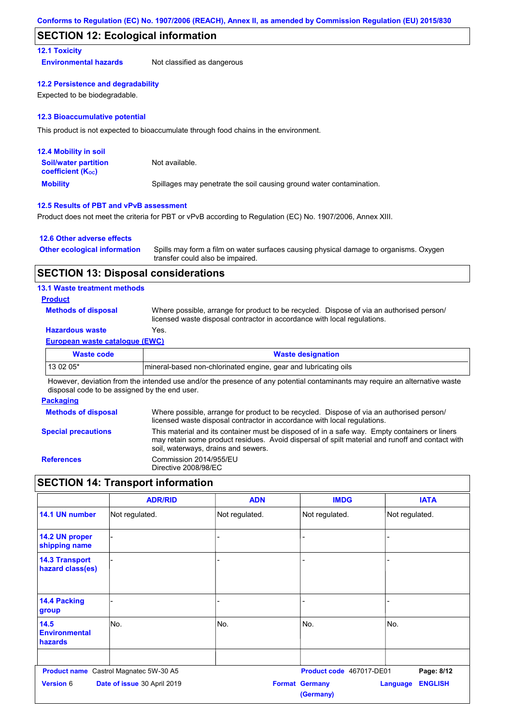### **SECTION 12: Ecological information**

### **12.1 Toxicity**

**Environmental hazards** Not classified as dangerous

#### **12.2 Persistence and degradability**

Expected to be biodegradable.

#### **12.3 Bioaccumulative potential**

This product is not expected to bioaccumulate through food chains in the environment.

| <b>12.4 Mobility in soil</b>                                  |                                                                      |
|---------------------------------------------------------------|----------------------------------------------------------------------|
| <b>Soil/water partition</b><br>coefficient (K <sub>oc</sub> ) | Not available.                                                       |
| <b>Mobility</b>                                               | Spillages may penetrate the soil causing ground water contamination. |

### **12.5 Results of PBT and vPvB assessment**

Product does not meet the criteria for PBT or vPvB according to Regulation (EC) No. 1907/2006, Annex XIII.

#### **12.6 Other adverse effects**

| <b>Other ecological information</b> | Spills may form a film on water surfaces causing physical damage to organisms. Oxygen |
|-------------------------------------|---------------------------------------------------------------------------------------|
|                                     | transfer could also be impaired.                                                      |

### **SECTION 13: Disposal considerations**

#### **13.1 Waste treatment methods**

### **Product**

**Methods of disposal**

Where possible, arrange for product to be recycled. Dispose of via an authorised person/ licensed waste disposal contractor in accordance with local regulations.

### **Hazardous waste** Yes.

#### **European waste catalogue (EWC)**

| Waste code | <b>Waste designation</b>                                         |
|------------|------------------------------------------------------------------|
| 13 02 05*  | Imineral-based non-chlorinated engine, gear and lubricating oils |

However, deviation from the intended use and/or the presence of any potential contaminants may require an alternative waste disposal code to be assigned by the end user.

#### **Packaging**

| <b>Methods of disposal</b> | Where possible, arrange for product to be recycled. Dispose of via an authorised person/<br>licensed waste disposal contractor in accordance with local regulations.                                                                    |
|----------------------------|-----------------------------------------------------------------------------------------------------------------------------------------------------------------------------------------------------------------------------------------|
| <b>Special precautions</b> | This material and its container must be disposed of in a safe way. Empty containers or liners<br>may retain some product residues. Avoid dispersal of spilt material and runoff and contact with<br>soil, waterways, drains and sewers. |
| <b>References</b>          | Commission 2014/955/EU<br>Directive 2008/98/EC                                                                                                                                                                                          |

### **SECTION 14: Transport information**

|                                           | <b>ADR/RID</b>                         | <b>ADN</b>     | <b>IMDG</b>                        | <b>IATA</b>                       |
|-------------------------------------------|----------------------------------------|----------------|------------------------------------|-----------------------------------|
| 14.1 UN number                            | Not regulated.                         | Not regulated. | Not regulated.                     | Not regulated.                    |
| 14.2 UN proper<br>shipping name           |                                        |                |                                    |                                   |
| <b>14.3 Transport</b><br>hazard class(es) |                                        |                |                                    |                                   |
| <b>14.4 Packing</b><br>group              |                                        |                |                                    |                                   |
| 14.5<br><b>Environmental</b><br>hazards   | No.                                    | No.            | No.                                | No.                               |
|                                           | Product name Castrol Magnatec 5W-30 A5 |                | Product code 467017-DE01           | Page: 8/12                        |
| <b>Version 6</b>                          | Date of issue 30 April 2019            |                | <b>Format Germany</b><br>(Germany) | <b>ENGLISH</b><br><b>Language</b> |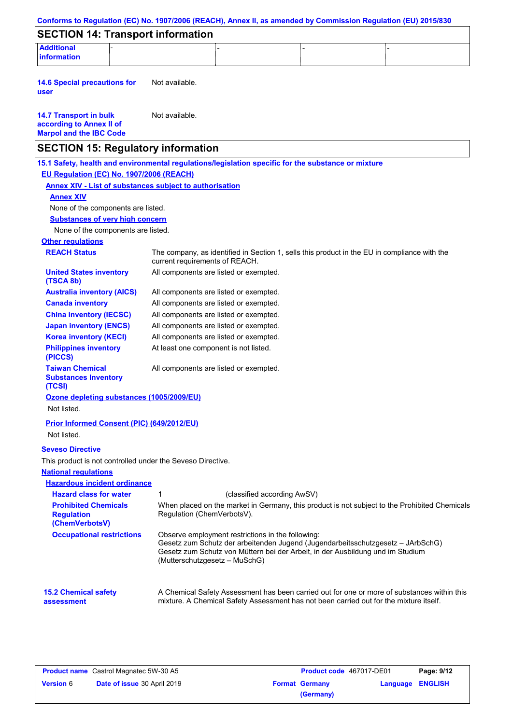| <b>SECTION 14: Transport information</b>                                                            |                                        |                                                                                    |                             |                                                                                                                                                                                       |  |
|-----------------------------------------------------------------------------------------------------|----------------------------------------|------------------------------------------------------------------------------------|-----------------------------|---------------------------------------------------------------------------------------------------------------------------------------------------------------------------------------|--|
| <b>Additional</b>                                                                                   |                                        |                                                                                    |                             |                                                                                                                                                                                       |  |
| information                                                                                         |                                        |                                                                                    |                             |                                                                                                                                                                                       |  |
| <b>14.6 Special precautions for</b><br>user                                                         | Not available.                         |                                                                                    |                             |                                                                                                                                                                                       |  |
| <b>14.7 Transport in bulk</b><br>according to Annex II of<br><b>Marpol and the IBC Code</b>         | Not available.                         |                                                                                    |                             |                                                                                                                                                                                       |  |
| <b>SECTION 15: Regulatory information</b>                                                           |                                        |                                                                                    |                             |                                                                                                                                                                                       |  |
| 15.1 Safety, health and environmental regulations/legislation specific for the substance or mixture |                                        |                                                                                    |                             |                                                                                                                                                                                       |  |
| EU Regulation (EC) No. 1907/2006 (REACH)                                                            |                                        |                                                                                    |                             |                                                                                                                                                                                       |  |
| <b>Annex XIV - List of substances subject to authorisation</b>                                      |                                        |                                                                                    |                             |                                                                                                                                                                                       |  |
| <b>Annex XIV</b>                                                                                    |                                        |                                                                                    |                             |                                                                                                                                                                                       |  |
| None of the components are listed.                                                                  |                                        |                                                                                    |                             |                                                                                                                                                                                       |  |
| <b>Substances of very high concern</b>                                                              |                                        |                                                                                    |                             |                                                                                                                                                                                       |  |
| None of the components are listed.                                                                  |                                        |                                                                                    |                             |                                                                                                                                                                                       |  |
| <b>Other regulations</b>                                                                            |                                        |                                                                                    |                             |                                                                                                                                                                                       |  |
| <b>REACH Status</b>                                                                                 | current requirements of REACH.         |                                                                                    |                             | The company, as identified in Section 1, sells this product in the EU in compliance with the                                                                                          |  |
| <b>United States inventory</b><br>(TSCA 8b)                                                         |                                        | All components are listed or exempted.                                             |                             |                                                                                                                                                                                       |  |
| <b>Australia inventory (AICS)</b>                                                                   |                                        | All components are listed or exempted.                                             |                             |                                                                                                                                                                                       |  |
| <b>Canada inventory</b>                                                                             |                                        | All components are listed or exempted.                                             |                             |                                                                                                                                                                                       |  |
| <b>China inventory (IECSC)</b>                                                                      |                                        | All components are listed or exempted.                                             |                             |                                                                                                                                                                                       |  |
| <b>Japan inventory (ENCS)</b>                                                                       |                                        | All components are listed or exempted.                                             |                             |                                                                                                                                                                                       |  |
| <b>Korea inventory (KECI)</b>                                                                       |                                        | All components are listed or exempted.                                             |                             |                                                                                                                                                                                       |  |
| <b>Philippines inventory</b><br>(PICCS)                                                             |                                        | At least one component is not listed.                                              |                             |                                                                                                                                                                                       |  |
| <b>Taiwan Chemical</b><br><b>Substances Inventory</b><br>(TCSI)                                     | All components are listed or exempted. |                                                                                    |                             |                                                                                                                                                                                       |  |
| Ozone depleting substances (1005/2009/EU)<br>Not listed.                                            |                                        |                                                                                    |                             |                                                                                                                                                                                       |  |
| <b>Prior Informed Consent (PIC) (649/2012/EU)</b><br>Not listed.                                    |                                        |                                                                                    |                             |                                                                                                                                                                                       |  |
|                                                                                                     |                                        |                                                                                    |                             |                                                                                                                                                                                       |  |
| <b>Seveso Directive</b><br>This product is not controlled under the Seveso Directive.               |                                        |                                                                                    |                             |                                                                                                                                                                                       |  |
| <b>National regulations</b>                                                                         |                                        |                                                                                    |                             |                                                                                                                                                                                       |  |
| <b>Hazardous incident ordinance</b>                                                                 |                                        |                                                                                    |                             |                                                                                                                                                                                       |  |
| <b>Hazard class for water</b>                                                                       | 1                                      |                                                                                    | (classified according AwSV) |                                                                                                                                                                                       |  |
| <b>Prohibited Chemicals</b>                                                                         |                                        |                                                                                    |                             | When placed on the market in Germany, this product is not subject to the Prohibited Chemicals                                                                                         |  |
| <b>Regulation</b><br>(ChemVerbotsV)                                                                 | Regulation (ChemVerbotsV).             |                                                                                    |                             |                                                                                                                                                                                       |  |
| <b>Occupational restrictions</b>                                                                    |                                        | Observe employment restrictions in the following:<br>(Mutterschutzgesetz - MuSchG) |                             | Gesetz zum Schutz der arbeitenden Jugend (Jugendarbeitsschutzgesetz - JArbSchG)<br>Gesetz zum Schutz von Müttern bei der Arbeit, in der Ausbildung und im Studium                     |  |
| <b>15.2 Chemical safety</b>                                                                         |                                        |                                                                                    |                             | A Chemical Safety Assessment has been carried out for one or more of substances within this<br>mixture. A Chemical Safety Assessment has not been carried out for the mixture itself. |  |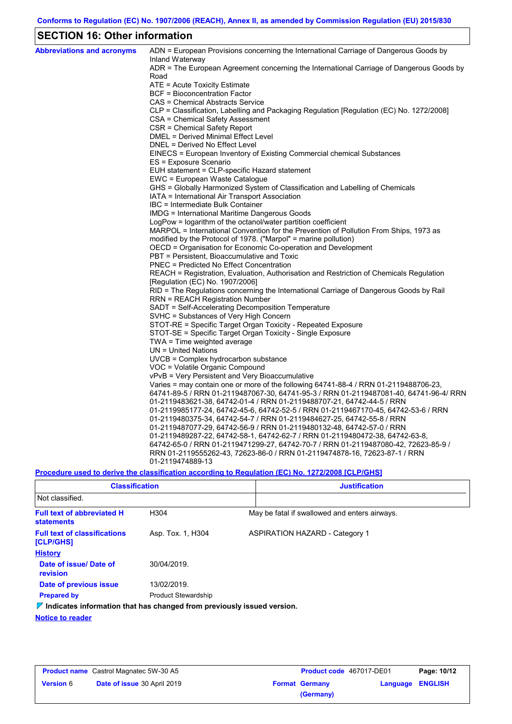# **SECTION 16: Other information**

| <b>Abbreviations and acronyms</b> | ADN = European Provisions concerning the International Carriage of Dangerous Goods by<br>Inland Waterway                         |
|-----------------------------------|----------------------------------------------------------------------------------------------------------------------------------|
|                                   | ADR = The European Agreement concerning the International Carriage of Dangerous Goods by<br>Road                                 |
|                                   | ATE = Acute Toxicity Estimate                                                                                                    |
|                                   | BCF = Bioconcentration Factor                                                                                                    |
|                                   | CAS = Chemical Abstracts Service                                                                                                 |
|                                   | CLP = Classification, Labelling and Packaging Regulation [Regulation (EC) No. 1272/2008]                                         |
|                                   | CSA = Chemical Safety Assessment                                                                                                 |
|                                   | CSR = Chemical Safety Report                                                                                                     |
|                                   | DMEL = Derived Minimal Effect Level                                                                                              |
|                                   | DNEL = Derived No Effect Level                                                                                                   |
|                                   | EINECS = European Inventory of Existing Commercial chemical Substances                                                           |
|                                   | ES = Exposure Scenario                                                                                                           |
|                                   | EUH statement = CLP-specific Hazard statement                                                                                    |
|                                   | EWC = European Waste Catalogue                                                                                                   |
|                                   | GHS = Globally Harmonized System of Classification and Labelling of Chemicals                                                    |
|                                   | IATA = International Air Transport Association                                                                                   |
|                                   | IBC = Intermediate Bulk Container                                                                                                |
|                                   | IMDG = International Maritime Dangerous Goods                                                                                    |
|                                   | LogPow = logarithm of the octanol/water partition coefficient                                                                    |
|                                   | MARPOL = International Convention for the Prevention of Pollution From Ships, 1973 as                                            |
|                                   | modified by the Protocol of 1978. ("Marpol" = marine pollution)                                                                  |
|                                   | OECD = Organisation for Economic Co-operation and Development                                                                    |
|                                   | PBT = Persistent, Bioaccumulative and Toxic                                                                                      |
|                                   | <b>PNEC = Predicted No Effect Concentration</b>                                                                                  |
|                                   | REACH = Registration, Evaluation, Authorisation and Restriction of Chemicals Regulation                                          |
|                                   | [Regulation (EC) No. 1907/2006]                                                                                                  |
|                                   | RID = The Regulations concerning the International Carriage of Dangerous Goods by Rail<br><b>RRN = REACH Registration Number</b> |
|                                   | SADT = Self-Accelerating Decomposition Temperature                                                                               |
|                                   | SVHC = Substances of Very High Concern                                                                                           |
|                                   | STOT-RE = Specific Target Organ Toxicity - Repeated Exposure                                                                     |
|                                   | STOT-SE = Specific Target Organ Toxicity - Single Exposure                                                                       |
|                                   | TWA = Time weighted average                                                                                                      |
|                                   | $UN = United Nations$                                                                                                            |
|                                   | UVCB = Complex hydrocarbon substance                                                                                             |
|                                   | VOC = Volatile Organic Compound                                                                                                  |
|                                   | vPvB = Very Persistent and Very Bioaccumulative                                                                                  |
|                                   | Varies = may contain one or more of the following $64741-88-4$ / RRN 01-2119488706-23,                                           |
|                                   | 64741-89-5 / RRN 01-2119487067-30, 64741-95-3 / RRN 01-2119487081-40, 64741-96-4/ RRN                                            |
|                                   | 01-2119483621-38, 64742-01-4 / RRN 01-2119488707-21, 64742-44-5 / RRN                                                            |
|                                   | 01-2119985177-24, 64742-45-6, 64742-52-5 / RRN 01-2119467170-45, 64742-53-6 / RRN                                                |
|                                   | 01-2119480375-34, 64742-54-7 / RRN 01-2119484627-25, 64742-55-8 / RRN                                                            |
|                                   | 01-2119487077-29, 64742-56-9 / RRN 01-2119480132-48, 64742-57-0 / RRN                                                            |
|                                   | 01-2119489287-22, 64742-58-1, 64742-62-7 / RRN 01-2119480472-38, 64742-63-8,                                                     |
|                                   | 64742-65-0 / RRN 01-2119471299-27, 64742-70-7 / RRN 01-2119487080-42, 72623-85-9 /                                               |
|                                   | RRN 01-2119555262-43, 72623-86-0 / RRN 01-2119474878-16, 72623-87-1 / RRN                                                        |
|                                   | 01-2119474889-13                                                                                                                 |

**Procedure used to derive the classification according to Regulation (EC) No. 1272/2008 [CLP/GHS]**

| <b>Classification</b>                                                           |                                                       | <b>Justification</b> |                                       |  |  |
|---------------------------------------------------------------------------------|-------------------------------------------------------|----------------------|---------------------------------------|--|--|
| Not classified.                                                                 |                                                       |                      |                                       |  |  |
| <b>Full text of abbreviated H</b><br><b>statements</b>                          | H304<br>May be fatal if swallowed and enters airways. |                      |                                       |  |  |
| <b>Full text of classifications</b><br>[CLP/GHS]                                | Asp. Tox. 1, H304                                     |                      | <b>ASPIRATION HAZARD - Category 1</b> |  |  |
| <b>History</b>                                                                  |                                                       |                      |                                       |  |  |
| Date of issue/ Date of<br>revision                                              | 30/04/2019.                                           |                      |                                       |  |  |
| Date of previous issue                                                          | 13/02/2019.                                           |                      |                                       |  |  |
| <b>Prepared by</b>                                                              | <b>Product Stewardship</b>                            |                      |                                       |  |  |
| $\nabla$ Indicates information that has changed from previously issued version. |                                                       |                      |                                       |  |  |

**Notice to reader**

| <b>Product name</b> Castrol Magnatec 5W-30 A5 |                             | <b>Product code</b> 467017-DE01 |                       | Page: 10/12             |  |
|-----------------------------------------------|-----------------------------|---------------------------------|-----------------------|-------------------------|--|
| <b>Version 6</b>                              | Date of issue 30 April 2019 |                                 | <b>Format Germany</b> | <b>Language ENGLISH</b> |  |
|                                               |                             |                                 | (Germany)             |                         |  |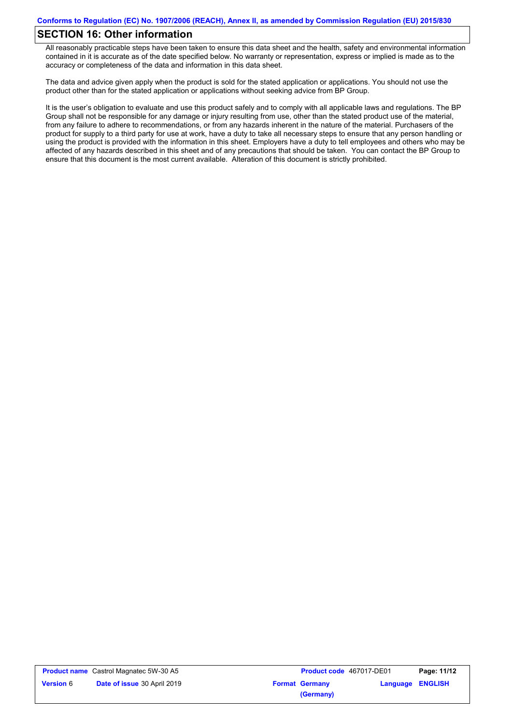### **SECTION 16: Other information**

All reasonably practicable steps have been taken to ensure this data sheet and the health, safety and environmental information contained in it is accurate as of the date specified below. No warranty or representation, express or implied is made as to the accuracy or completeness of the data and information in this data sheet.

The data and advice given apply when the product is sold for the stated application or applications. You should not use the product other than for the stated application or applications without seeking advice from BP Group.

It is the user's obligation to evaluate and use this product safely and to comply with all applicable laws and regulations. The BP Group shall not be responsible for any damage or injury resulting from use, other than the stated product use of the material, from any failure to adhere to recommendations, or from any hazards inherent in the nature of the material. Purchasers of the product for supply to a third party for use at work, have a duty to take all necessary steps to ensure that any person handling or using the product is provided with the information in this sheet. Employers have a duty to tell employees and others who may be affected of any hazards described in this sheet and of any precautions that should be taken. You can contact the BP Group to ensure that this document is the most current available. Alteration of this document is strictly prohibited.